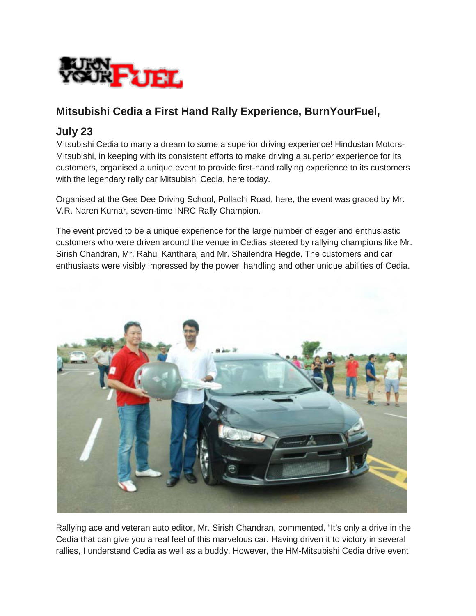

## **Mitsubishi Cedia a First Hand Rally Experience, BurnYourFuel,**

## **July 23**

Mitsubishi Cedia to many a dream to some a superior driving experience! Hindustan Motors-Mitsubishi, in keeping with its consistent efforts to make driving a superior experience for its customers, organised a unique event to provide first-hand rallying experience to its customers with the legendary rally car Mitsubishi Cedia, here today.

Organised at the Gee Dee Driving School, Pollachi Road, here, the event was graced by Mr. V.R. Naren Kumar, seven-time INRC Rally Champion.

The event proved to be a unique experience for the large number of eager and enthusiastic customers who were driven around the venue in Cedias steered by rallying champions like Mr. Sirish Chandran, Mr. Rahul Kantharaj and Mr. Shailendra Hegde. The customers and car enthusiasts were visibly impressed by the power, handling and other unique abilities of Cedia.



Rallying ace and veteran auto editor, Mr. Sirish Chandran, commented, "It's only a drive in the Cedia that can give you a real feel of this marvelous car. Having driven it to victory in several rallies, I understand Cedia as well as a buddy. However, the HM-Mitsubishi Cedia drive event